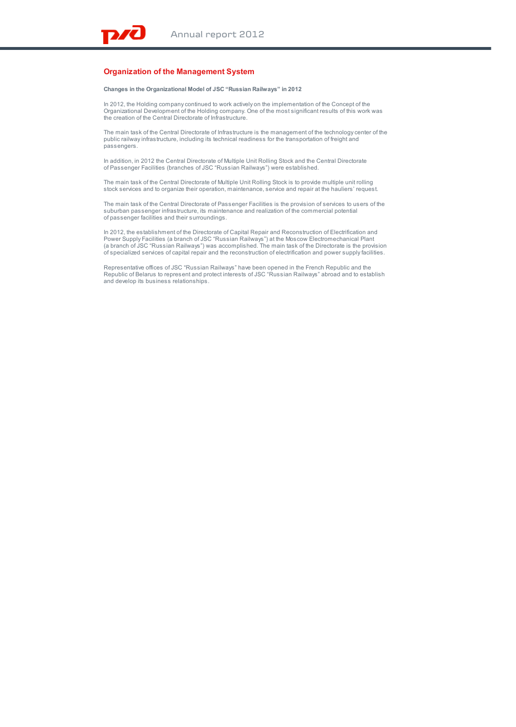## **Organization of the Management System**

**Changes in the Organizational Model of JSC "Russian Railways" in 2012**

In 2012, the Holding company continued to work actively on the implementation of the Concept of the Organizational Development of the Holding company. One of the most significant results of this work was the creation of the Central Directorate of Infrastructure.

The main task of the Central Directorate of Infrastructure is the management of the technology center of the public railway infrastructure, including its technical readiness for the transportation of freight and passengers.

In addition, in 2012 the Central Directorate of Multiple Unit Rolling Stock and the Central Directorate of Passenger Facilities (branches of JSC "Russian Railways") were established.

The main task of the Central Directorate of Multiple Unit Rolling Stock is to provide multiple unit rolling stock services and to organize their operation, maintenance, service and repair at the hauliers' request.

The main task of the Central Directorate of Passenger Facilities is the provision of services to users of the suburban passenger infrastructure, its maintenance and realization of the commercial potential of passenger facilities and their surroundings.

In 2012, the establishment of the Directorate of Capital Repair and Reconstruction of Electrification and Power Supply Facilities (a branch of JSC "Russian Railways") at the Moscow Electromechanical Plant<br>(a branch of JSC "Russian Railways") was accomplished. The main task of the Directorate is the provision<br>of specialized ser

Representative offices of JSC "Russian Railways" have been opened in the French Republic and the Republic of Belarus to represent and protect interests of JSC "Russian Railways" abroad and to establish and develop its business relationships.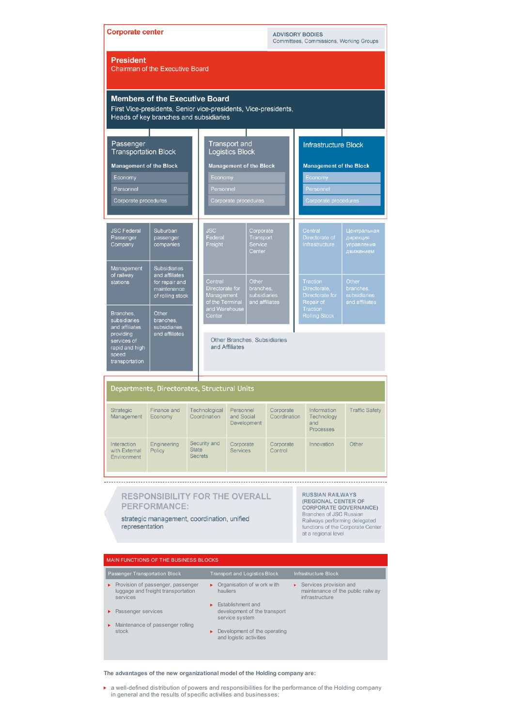| <b>Corporate center</b><br><b>ADVISORY BODIES</b><br>Committees, Commissions, Working Groups                                                                                                                                                                                                                                            |                                                                                            |                                                |                                                             |                              |                                                      |                      |                                                         |                                  |                                                                                    |  |
|-----------------------------------------------------------------------------------------------------------------------------------------------------------------------------------------------------------------------------------------------------------------------------------------------------------------------------------------|--------------------------------------------------------------------------------------------|------------------------------------------------|-------------------------------------------------------------|------------------------------|------------------------------------------------------|----------------------|---------------------------------------------------------|----------------------------------|------------------------------------------------------------------------------------|--|
| <b>President</b><br><b>Chairman of the Executive Board</b>                                                                                                                                                                                                                                                                              |                                                                                            |                                                |                                                             |                              |                                                      |                      |                                                         |                                  |                                                                                    |  |
| <b>Members of the Executive Board</b><br>First Vice-presidents, Senior vice-presidents, Vice-presidents,<br>Heads of key branches and subsidiaries                                                                                                                                                                                      |                                                                                            |                                                |                                                             |                              |                                                      |                      |                                                         |                                  |                                                                                    |  |
| Passenger<br><b>Transportation Block</b>                                                                                                                                                                                                                                                                                                |                                                                                            |                                                | Transport and<br><b>Logistics Block</b>                     |                              |                                                      |                      |                                                         | <b>Infrastructure Block</b>      |                                                                                    |  |
| <b>Management of the Block</b>                                                                                                                                                                                                                                                                                                          |                                                                                            |                                                | <b>Management of the Block</b>                              |                              |                                                      |                      |                                                         | <b>Management of the Block</b>   |                                                                                    |  |
| Economy                                                                                                                                                                                                                                                                                                                                 |                                                                                            |                                                | Economy                                                     |                              |                                                      |                      |                                                         | Economy                          |                                                                                    |  |
| Personnel                                                                                                                                                                                                                                                                                                                               |                                                                                            |                                                | Personnel                                                   |                              |                                                      |                      |                                                         | Personnel                        |                                                                                    |  |
| Corporate procedures                                                                                                                                                                                                                                                                                                                    |                                                                                            |                                                | Corporate procedures                                        |                              |                                                      |                      |                                                         | Corporate procedures             |                                                                                    |  |
|                                                                                                                                                                                                                                                                                                                                         |                                                                                            |                                                |                                                             |                              |                                                      |                      |                                                         |                                  |                                                                                    |  |
| <b>JSC Federal</b><br>Passenger<br>Company                                                                                                                                                                                                                                                                                              | Suburban<br>passenger<br>companies                                                         |                                                |                                                             |                              | Corporate<br>Transport<br>Service<br>Center          |                      | Central<br>Directorate of<br>Infrastructure             |                                  | Центральная<br>дирекция<br>управления<br>движением                                 |  |
| Management<br>of railway<br>stations                                                                                                                                                                                                                                                                                                    | <b>Subsidiaries</b><br>and affiliates<br>for repair and<br>maintenance<br>of rolling stock |                                                | Central<br>Directorate for<br>Management<br>of the Terminal |                              | Other<br>branches,<br>subsidiaries<br>and affiliates |                      | Traction<br>Directorate<br>Directorate for<br>Repair of |                                  | Other<br>branches.<br>subsidiaries<br>and affiliates                               |  |
| Branches,<br>subsidiaries<br>and affiliates                                                                                                                                                                                                                                                                                             | Other<br>branches,<br>subsidiaries<br>and affiliates                                       |                                                | and Warehouse<br>Center                                     |                              |                                                      |                      |                                                         | Traction<br><b>Rolling Stock</b> |                                                                                    |  |
| providing<br>services of<br>rapid and high<br>speed<br>transportation                                                                                                                                                                                                                                                                   |                                                                                            |                                                | Other Branches, Subsidiaries<br>and Affiliates              |                              |                                                      |                      |                                                         |                                  |                                                                                    |  |
|                                                                                                                                                                                                                                                                                                                                         |                                                                                            |                                                |                                                             |                              |                                                      |                      |                                                         |                                  |                                                                                    |  |
|                                                                                                                                                                                                                                                                                                                                         | Departments, Directorates, Structural Units                                                |                                                |                                                             |                              |                                                      |                      |                                                         |                                  |                                                                                    |  |
| Management                                                                                                                                                                                                                                                                                                                              | Economy                                                                                    |                                                | Coordination                                                | and Social<br>Development    |                                                      | Coordination         |                                                         | Technology<br>and<br>Processes   | Strategic Finance and Technological Personnel Corporate Information Traffic Safety |  |
| Interaction<br>with External<br>Environment                                                                                                                                                                                                                                                                                             | Engineering<br>Policy                                                                      | Security and<br><b>State</b><br><b>Secrets</b> |                                                             | Corporate<br><b>Services</b> |                                                      | Corporate<br>Control |                                                         | Innovation                       | Other                                                                              |  |
|                                                                                                                                                                                                                                                                                                                                         |                                                                                            |                                                |                                                             |                              |                                                      |                      |                                                         |                                  |                                                                                    |  |
| <b>RUSSIAN RAILWAYS</b><br><b>RESPONSIBILITY FOR THE OVERALL</b><br>(REGIONAL CENTER OF<br><b>PERFORMANCE:</b><br><b>CORPORATE GOVERNANCE)</b><br>Branches of JSC Russian<br>strategic management, coordination, unified<br>Railways performing delegated<br>representation<br>functions of the Corporate Center<br>at a regional level |                                                                                            |                                                |                                                             |                              |                                                      |                      |                                                         |                                  |                                                                                    |  |
|                                                                                                                                                                                                                                                                                                                                         |                                                                                            |                                                |                                                             |                              |                                                      |                      |                                                         |                                  |                                                                                    |  |

|                                | MAIN FUNCTIONS OF THE BUSINESS BLOCKS                                                 |                                                                     |                                                                                                 |  |  |  |  |  |  |
|--------------------------------|---------------------------------------------------------------------------------------|---------------------------------------------------------------------|-------------------------------------------------------------------------------------------------|--|--|--|--|--|--|
| Passenger Transportation Block |                                                                                       | <b>Transport and Logistics Block</b>                                | Infrastructure Block                                                                            |  |  |  |  |  |  |
|                                | • Provision of passenger, passenger<br>luggage and freight transportation<br>services | Organisation of w ork with<br>×.<br>hauliers                        | $\triangleright$ Services provision and<br>maintenance of the public railw ay<br>infrastructure |  |  |  |  |  |  |
|                                | • Passenger services                                                                  | Establishment and<br>development of the transport<br>service system |                                                                                                 |  |  |  |  |  |  |
|                                | Maintenance of passenger rolling<br>stock                                             | Development of the operating<br>×.<br>and logistic activities       |                                                                                                 |  |  |  |  |  |  |

**The advantages of the new organizational model of the Holding company are:**

a well-defined distribution of powers and responsibilities for the performance of the Holding company in general and the results of specific activities and businesses;